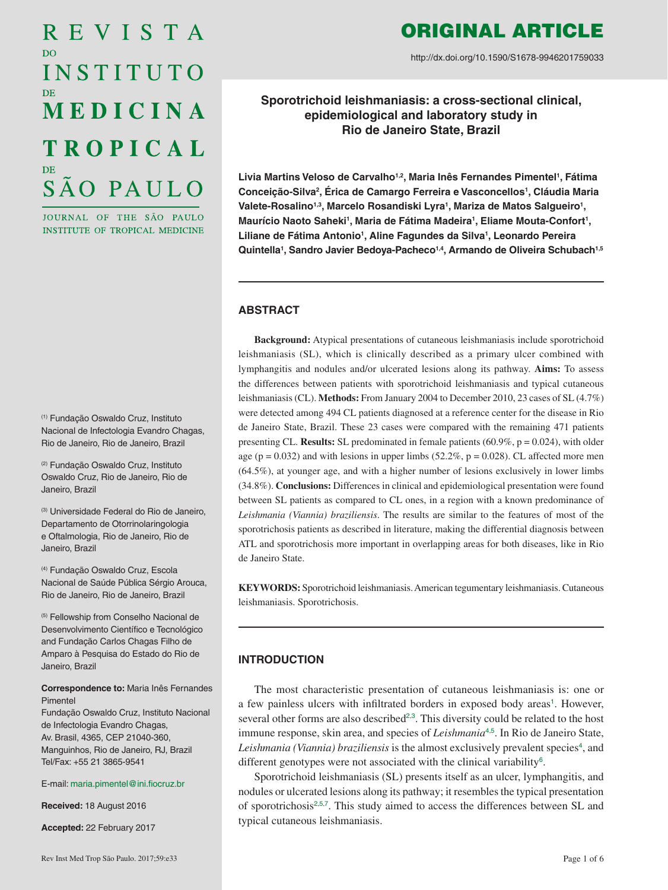# REVISTA D<sub>O</sub> INSTITUTO MEDICINA **TROPICAL** SÃO PAULO

JOURNAL OF THE SÃO PAULO INSTITUTE OF TROPICAL MEDICINE

(1) Fundação Oswaldo Cruz, Instituto Nacional de Infectologia Evandro Chagas, Rio de Janeiro, Rio de Janeiro, Brazil

(2) Fundação Oswaldo Cruz, Instituto Oswaldo Cruz, Rio de Janeiro, Rio de Janeiro, Brazil

(3) Universidade Federal do Rio de Janeiro, Departamento de Otorrinolaringologia e Oftalmologia, Rio de Janeiro, Rio de Janeiro, Brazil

(4) Fundação Oswaldo Cruz, Escola Nacional de Saúde Pública Sérgio Arouca, Rio de Janeiro, Rio de Janeiro, Brazil

(5) Fellowship from Conselho Nacional de Desenvolvimento Científico e Tecnológico and Fundação Carlos Chagas Filho de Amparo à Pesquisa do Estado do Rio de Janeiro, Brazil

#### **Correspondence to:** Maria Inês Fernandes Pimentel

Fundação Oswaldo Cruz, Instituto Nacional de Infectologia Evandro Chagas, Av. Brasil, 4365, CEP 21040-360, Manguinhos, Rio de Janeiro, RJ, Brazil Tel/Fax: +55 21 3865-9541

#### E-mail: [maria.pimentel@ini.fiocruz.br](mailto:maria.pimentel%40ini.fiocruz.br?subject=)

**Received:** 18 August 2016

**Accepted:** 22 February 2017

# ORIGINAL ARTICLE

http://dx.doi.org/10.1590/S1678-9946201759033

**Sporotrichoid leishmaniasis: a cross-sectional clinical, epidemiological and laboratory study in Rio de Janeiro State, Brazil**

Livia Martins Veloso de Carvalho<sup>1,2</sup>, Maria Inês Fernandes Pimentel<sup>1</sup>, Fátima **Conceição-Silva2 , Érica de Camargo Ferreira e Vasconcellos1 , Cláudia Maria**  Valete-Rosalino<sup>1,3</sup>, Marcelo Rosandiski Lyra<sup>1</sup>, Mariza de Matos Salgueiro<sup>1</sup>, Maurício Naoto Saheki<sup>1</sup>, Maria de Fátima Madeira<sup>1</sup>, Eliame Mouta-Confort<sup>1</sup>, Liliane de Fátima Antonio<sup>1</sup>, Aline Fagundes da Silva<sup>1</sup>, Leonardo Pereira **Quintella1 , Sandro Javier Bedoya-Pacheco1,4, Armando de Oliveira Schubach1,5**

#### **ABSTRACT**

**Background:** Atypical presentations of cutaneous leishmaniasis include sporotrichoid leishmaniasis (SL), which is clinically described as a primary ulcer combined with lymphangitis and nodules and/or ulcerated lesions along its pathway. **Aims:** To assess the differences between patients with sporotrichoid leishmaniasis and typical cutaneous leishmaniasis (CL). **Methods:** From January 2004 to December 2010, 23 cases of SL (4.7%) were detected among 494 CL patients diagnosed at a reference center for the disease in Rio de Janeiro State, Brazil. These 23 cases were compared with the remaining 471 patients presenting CL. **Results:** SL predominated in female patients (60.9%, p = 0.024), with older age ( $p = 0.032$ ) and with lesions in upper limbs (52.2%,  $p = 0.028$ ). CL affected more men (64.5%), at younger age, and with a higher number of lesions exclusively in lower limbs (34.8%). **Conclusions:** Differences in clinical and epidemiological presentation were found between SL patients as compared to CL ones, in a region with a known predominance of *Leishmania (Viannia) braziliensis*. The results are similar to the features of most of the sporotrichosis patients as described in literature, making the differential diagnosis between ATL and sporotrichosis more important in overlapping areas for both diseases, like in Rio de Janeiro State.

**KEYWORDS:** Sporotrichoid leishmaniasis. American tegumentary leishmaniasis. Cutaneous leishmaniasis. Sporotrichosis.

# **INTRODUCTION**

<span id="page-0-4"></span><span id="page-0-3"></span><span id="page-0-2"></span><span id="page-0-1"></span><span id="page-0-0"></span>The most characteristic presentation of cutaneous leishmaniasis is: one or a few painless ulcers with infiltrated borders in exposed body areas<sup>[1](#page-4-0)</sup>. However, several other forms are also described<sup>[2](#page-4-0),[3](#page-4-0)</sup>. This diversity could be related to the host immune response, skin area, and species of *Leishmania*<sup>[4](#page-4-0),[5](#page-4-0)</sup>. In Rio de Janeiro State, Leishmania (Viannia) braziliensis is the almost exclusively prevalent species<sup>[4](#page-4-0)</sup>, and different genotypes were not associated with the clinical variability<sup>[6](#page-4-0)</sup>.

<span id="page-0-6"></span><span id="page-0-5"></span>Sporotrichoid leishmaniasis (SL) presents itself as an ulcer, lymphangitis, and nodules or ulcerated lesions along its pathway; it resembles the typical presentation of sporotrichosis<sup>[2](#page-4-0),[5](#page-4-0),[7](#page-4-0)</sup>. This study aimed to access the differences between SL and typical cutaneous leishmaniasis.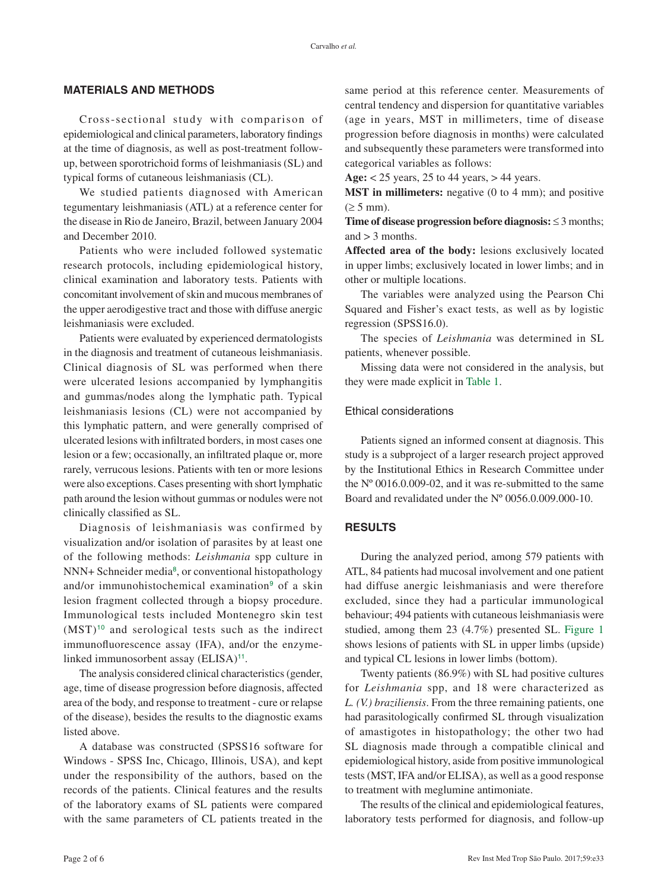### **MATERIALS AND METHODS**

Cross-sectional study with comparison of epidemiological and clinical parameters, laboratory findings at the time of diagnosis, as well as post-treatment followup, between sporotrichoid forms of leishmaniasis (SL) and typical forms of cutaneous leishmaniasis (CL).

We studied patients diagnosed with American tegumentary leishmaniasis (ATL) at a reference center for the disease in Rio de Janeiro, Brazil, between January 2004 and December 2010.

Patients who were included followed systematic research protocols, including epidemiological history, clinical examination and laboratory tests. Patients with concomitant involvement of skin and mucous membranes of the upper aerodigestive tract and those with diffuse anergic leishmaniasis were excluded.

Patients were evaluated by experienced dermatologists in the diagnosis and treatment of cutaneous leishmaniasis. Clinical diagnosis of SL was performed when there were ulcerated lesions accompanied by lymphangitis and gummas/nodes along the lymphatic path. Typical leishmaniasis lesions (CL) were not accompanied by this lymphatic pattern, and were generally comprised of ulcerated lesions with infiltrated borders, in most cases one lesion or a few; occasionally, an infiltrated plaque or, more rarely, verrucous lesions. Patients with ten or more lesions were also exceptions. Cases presenting with short lymphatic path around the lesion without gummas or nodules were not clinically classified as SL.

<span id="page-1-3"></span><span id="page-1-2"></span>Diagnosis of leishmaniasis was confirmed by visualization and/or isolation of parasites by at least one of the following methods: *Leishmania* spp culture in NNN+ Schneider media<sup>[8](#page-4-0)</sup>, or conventional histopathology and/or immunohistochemical examination<sup>[9](#page-4-0)</sup> of a skin lesion fragment collected through a biopsy procedure. Immunological tests included Montenegro skin test  $(MST)^{10}$  $(MST)^{10}$  $(MST)^{10}$  and serological tests such as the indirect immunofluorescence assay (IFA), and/or the enzyme-linked immunosorbent assay (ELISA)<sup>[11](#page-4-0)</sup>.

<span id="page-1-4"></span>The analysis considered clinical characteristics (gender, age, time of disease progression before diagnosis, affected area of the body, and response to treatment - cure or relapse of the disease), besides the results to the diagnostic exams listed above.

A database was constructed (SPSS16 software for Windows - SPSS Inc, Chicago, Illinois, USA), and kept under the responsibility of the authors, based on the records of the patients. Clinical features and the results of the laboratory exams of SL patients were compared with the same parameters of CL patients treated in the

same period at this reference center. Measurements of central tendency and dispersion for quantitative variables (age in years, MST in millimeters, time of disease progression before diagnosis in months) were calculated and subsequently these parameters were transformed into categorical variables as follows:

**Age:** < 25 years, 25 to 44 years, > 44 years.

**MST in millimeters:** negative (0 to 4 mm); and positive  $(\geq 5$  mm).

**Time of disease progression before diagnosis:** ≤ 3 months; and  $>$  3 months.

**Affected area of the body:** lesions exclusively located in upper limbs; exclusively located in lower limbs; and in other or multiple locations.

The variables were analyzed using the Pearson Chi Squared and Fisher's exact tests, as well as by logistic regression (SPSS16.0).

The species of *Leishmania* was determined in SL patients, whenever possible.

<span id="page-1-0"></span>Missing data were not considered in the analysis, but they were made explicit in [Table 1](#page-2-0).

## Ethical considerations

Patients signed an informed consent at diagnosis. This study is a subproject of a larger research project approved by the Institutional Ethics in Research Committee under the Nº 0016.0.009-02, and it was re-submitted to the same Board and revalidated under the Nº 0056.0.009.000-10.

#### **RESULTS**

During the analyzed period, among 579 patients with ATL, 84 patients had mucosal involvement and one patient had diffuse anergic leishmaniasis and were therefore excluded, since they had a particular immunological behaviour; 494 patients with cutaneous leishmaniasis were studied, among them 23 (4.7%) presented SL. [Figure 1](#page-3-0) shows lesions of patients with SL in upper limbs (upside) and typical CL lesions in lower limbs (bottom).

<span id="page-1-5"></span><span id="page-1-1"></span>Twenty patients (86.9%) with SL had positive cultures for *Leishmania* spp, and 18 were characterized as *L. (V.) braziliensis*. From the three remaining patients, one had parasitologically confirmed SL through visualization of amastigotes in histopathology; the other two had SL diagnosis made through a compatible clinical and epidemiological history, aside from positive immunological tests (MST, IFA and/or ELISA), as well as a good response to treatment with meglumine antimoniate.

The results of the clinical and epidemiological features, laboratory tests performed for diagnosis, and follow-up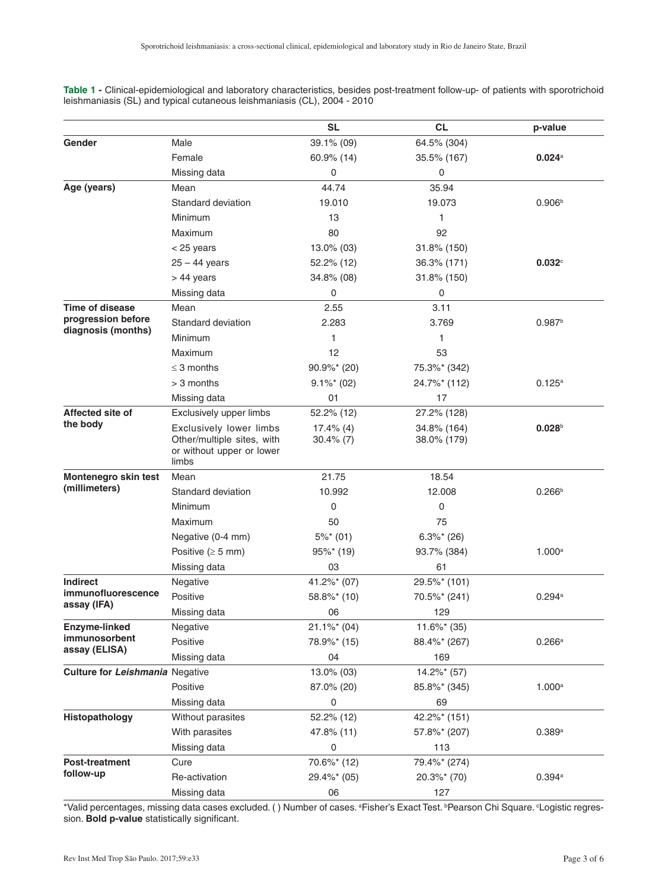|                                                                    |                                                                                             | <b>SL</b>                    | <b>CL</b>                  | p-value            |
|--------------------------------------------------------------------|---------------------------------------------------------------------------------------------|------------------------------|----------------------------|--------------------|
| Gender                                                             | Male                                                                                        | 39.1% (09)                   | 64.5% (304)                |                    |
|                                                                    | Female                                                                                      | 60.9% (14)                   | 35.5% (167)                | 0.024a             |
|                                                                    | Missing data                                                                                | 0                            | $\pmb{0}$                  |                    |
| Age (years)                                                        | Mean                                                                                        | 44.74                        | 35.94                      |                    |
|                                                                    | Standard deviation                                                                          | 19.010                       | 19.073                     | 0.906 <sup>b</sup> |
|                                                                    | Minimum                                                                                     | 13                           | 1                          |                    |
|                                                                    | Maximum                                                                                     | 80                           | 92                         |                    |
|                                                                    | $<$ 25 years                                                                                | 13.0% (03)                   | 31.8% (150)                |                    |
|                                                                    | $25 - 44$ years                                                                             | 52.2% (12)                   | 36.3% (171)                | $0.032^\circ$      |
|                                                                    | $> 44$ years                                                                                | 34.8% (08)                   | 31.8% (150)                |                    |
|                                                                    | Missing data                                                                                | 0                            | 0                          |                    |
| <b>Time of disease</b><br>progression before<br>diagnosis (months) | Mean                                                                                        | 2.55                         | 3.11                       |                    |
|                                                                    | Standard deviation                                                                          | 2.283                        | 3.769                      | 0.987 <sup>b</sup> |
|                                                                    | Minimum                                                                                     | 1                            | 1                          |                    |
|                                                                    | Maximum                                                                                     | 12                           | 53                         |                    |
|                                                                    | $\leq$ 3 months                                                                             | $90.9\%$ <sup>*</sup> (20)   | 75.3%* (342)               |                    |
|                                                                    | > 3 months                                                                                  | $9.1\%$ * (02)               | 24.7%* (112)               | $0.125^{\rm a}$    |
|                                                                    | Missing data                                                                                | 01                           | 17                         |                    |
| Affected site of<br>the body                                       | Exclusively upper limbs                                                                     | 52.2% (12)                   | 27.2% (128)                |                    |
|                                                                    | Exclusively lower limbs<br>Other/multiple sites, with<br>or without upper or lower<br>limbs | $17.4\%$ (4)<br>$30.4\%$ (7) | 34.8% (164)<br>38.0% (179) | 0.028 <sup>b</sup> |
| Montenegro skin test<br>(millimeters)                              | Mean                                                                                        | 21.75                        | 18.54                      |                    |
|                                                                    | Standard deviation                                                                          | 10.992                       | 12.008                     | 0.266 <sup>b</sup> |
|                                                                    | Minimum                                                                                     | 0                            | 0                          |                    |
|                                                                    | Maximum                                                                                     | 50                           | 75                         |                    |
|                                                                    | Negative (0-4 mm)                                                                           | $5\%$ <sup>*</sup> (01)      | $6.3\%$ <sup>*</sup> (26)  |                    |
|                                                                    | Positive ( $\geq$ 5 mm)                                                                     | $95\%$ * (19)                | 93.7% (384)                | 1.000 <sup>a</sup> |
|                                                                    | Missing data                                                                                | 03                           | 61                         |                    |
| <b>Indirect</b>                                                    | Negative                                                                                    | 41.2%* (07)                  | 29.5%* (101)               |                    |
| immunofluorescence<br>assay (IFA)                                  | Positive                                                                                    | 58.8%* (10)                  | 70.5%* (241)               | 0.294a             |
|                                                                    | Missing data                                                                                | 06                           | 129                        |                    |
| Enzyme-linked<br>immunosorbent<br>assay (ELISA)                    | Negative                                                                                    | $21.1\%*(04)$                | $11.6\%$ <sup>*</sup> (35) |                    |
|                                                                    | Positive                                                                                    | 78.9%* (15)                  | 88.4%* (267)               | 0.266a             |
|                                                                    | Missing data                                                                                | 04                           | 169                        |                    |
| Culture for Leishmania Negative                                    |                                                                                             | 13.0% (03)                   | 14.2%* (57)                |                    |
|                                                                    | Positive                                                                                    | 87.0% (20)                   | 85.8%* (345)               | 1.000 <sup>a</sup> |
|                                                                    | Missing data                                                                                | 0                            | 69                         |                    |
| Histopathology                                                     | Without parasites                                                                           | 52.2% (12)                   | 42.2%* (151)               |                    |
|                                                                    | With parasites                                                                              | 47.8% (11)                   | 57.8%* (207)               | 0.389a             |
|                                                                    | Missing data                                                                                | 0                            | 113                        |                    |
| <b>Post-treatment</b><br>follow-up                                 | Cure                                                                                        | 70.6%* (12)                  | 79.4%* (274)               |                    |
|                                                                    | Re-activation                                                                               | 29.4%* (05)                  | $20.3\%$ <sup>*</sup> (70) | 0.394a             |
|                                                                    | Missing data                                                                                | 06                           | 127                        |                    |

<span id="page-2-0"></span>**Table 1 -** [Clinical-epidemiological and laboratory characteristics, besides post-treatment follow-up- of patients with sporotrichoid](#page-1-0)  leishmaniasis (SL) and typical cutaneous leishmaniasis (CL), 2004 - 2010

\*Valid percentages, missing data cases excluded. () Number of cases. ªFisher's Exact Test. <sup>b</sup>Pearson Chi Square. °Logistic regression. **Bold p-value** statistically significant.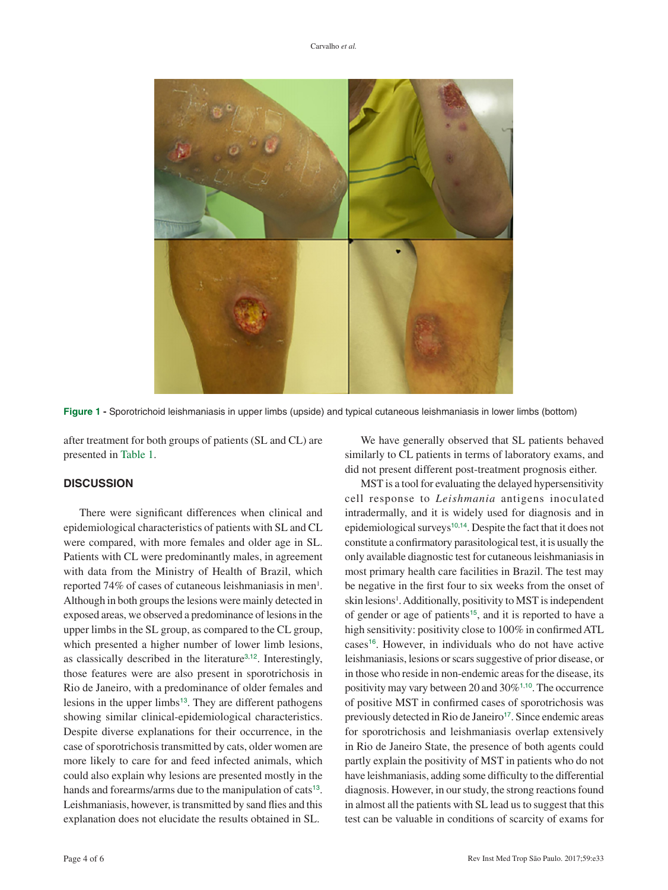<span id="page-3-0"></span>

**Figure 1 -** [Sporotrichoid leishmaniasis in upper limbs \(upside\) and typical cutaneous leishmaniasis in lower limbs \(bottom\)](#page-1-1)

after treatment for both groups of patients (SL and CL) are presented in [Table 1](#page-2-0).

#### **DISCUSSION**

There were significant differences when clinical and epidemiological characteristics of patients with SL and CL were compared, with more females and older age in SL. Patients with CL were predominantly males, in agreement with data from the Ministry of Health of Brazil, which reported 74% of cases of cutaneous leishmaniasis in men<sup>1</sup>. Although in both groups the lesions were mainly detected in exposed areas, we observed a predominance of lesions in the upper limbs in the SL group, as compared to the CL group, which presented a higher number of lower limb lesions, as classically described in the literature<sup>[3](#page-4-0),[12](#page-5-0)</sup>. Interestingly, those features were are also present in sporotrichosis in Rio de Janeiro, with a predominance of older females and lesions in the upper limbs<sup>[13](#page-5-0)</sup>. They are different pathogens showing similar clinical-epidemiological characteristics. Despite diverse explanations for their occurrence, in the case of sporotrichosis transmitted by cats, older women are more likely to care for and feed infected animals, which could also explain why lesions are presented mostly in the hands and forearms/arms due to the manipulation of cats<sup>[13](#page-5-0)</sup>. Leishmaniasis, however, is transmitted by sand flies and this explanation does not elucidate the results obtained in SL.

We have generally observed that SL patients behaved similarly to CL patients in terms of laboratory exams, and did not present different post-treatment prognosis either.

<span id="page-3-6"></span><span id="page-3-5"></span><span id="page-3-4"></span><span id="page-3-3"></span><span id="page-3-2"></span><span id="page-3-1"></span>MST is a tool for evaluating the delayed hypersensitivity cell response to *Leishmania* antigens inoculated intradermally, and it is widely used for diagnosis and in epidemiological surveys<sup>[10](#page-4-0),[14](#page-5-0)</sup>. Despite the fact that it does not constitute a confirmatory parasitological test, it is usually the only available diagnostic test for cutaneous leishmaniasis in most primary health care facilities in Brazil. The test may be negative in the first four to six weeks from the onset of skin lesions<sup>1</sup>. Additionally, positivity to MST is independent of gender or age of patients<sup>[15](#page-5-0)</sup>, and it is reported to have a high sensitivity: positivity close to 100% in confirmed ATL cases[16](#page-5-0). However, in individuals who do not have active leishmaniasis, lesions or scars suggestive of prior disease, or in those who reside in non-endemic areas for the disease, its positivity may vary between 20 and 30%[1](#page-4-0),[10](#page-4-0). The occurrence of positive MST in confirmed cases of sporotrichosis was previously detected in Rio de Janeiro<sup>[17](#page-5-0)</sup>. Since endemic areas for sporotrichosis and leishmaniasis overlap extensively in Rio de Janeiro State, the presence of both agents could partly explain the positivity of MST in patients who do not have leishmaniasis, adding some difficulty to the differential diagnosis. However, in our study, the strong reactions found in almost all the patients with SL lead us to suggest that this test can be valuable in conditions of scarcity of exams for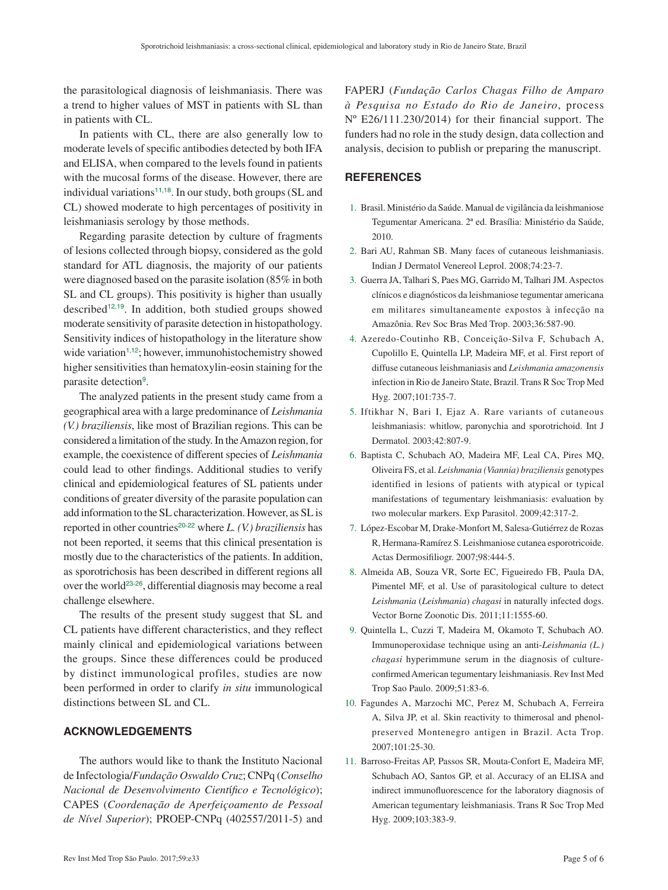<span id="page-4-0"></span>the parasitological diagnosis of leishmaniasis. There was a trend to higher values of MST in patients with SL than in patients with CL.

In patients with CL, there are also generally low to moderate levels of specific antibodies detected by both IFA and ELISA, when compared to the levels found in patients with the mucosal forms of the disease. However, there are individual variations<sup>11,[18](#page-5-0)</sup>. In our study, both groups (SL and CL) showed moderate to high percentages of positivity in leishmaniasis serology by those methods.

<span id="page-4-2"></span>Regarding parasite detection by culture of fragments of lesions collected through biopsy, considered as the gold standard for ATL diagnosis, the majority of our patients were diagnosed based on the parasite isolation (85% in both SL and CL groups). This positivity is higher than usually described<sup>[12](#page-5-0),[19](#page-5-0)</sup>. In addition, both studied groups showed moderate sensitivity of parasite detection in histopathology. Sensitivity indices of histopathology in the literature show wide variation<sup>1,[12](#page-5-0)</sup>; however, immunohistochemistry showed higher sensitivities than hematoxylin-eosin staining for the parasite detection<sup>9</sup>.

The analyzed patients in the present study came from a geographical area with a large predominance of *Leishmania (V.) braziliensis*, like most of Brazilian regions. This can be considered a limitation of the study. In the Amazon region, for example, the coexistence of different species of *Leishmania* could lead to other findings. Additional studies to verify clinical and epidemiological features of SL patients under conditions of greater diversity of the parasite population can add information to the SL characterization. However, as SL is reported in other countries<sup>[20](#page-5-0)-[22](#page-5-0)</sup> where *L. (V.) braziliensis* has not been reported, it seems that this clinical presentation is mostly due to the characteristics of the patients. In addition, as sporotrichosis has been described in different regions all over the world[23](#page-5-0)-[26](#page-5-0), differential diagnosis may become a real challenge elsewhere.

<span id="page-4-6"></span><span id="page-4-5"></span>The results of the present study suggest that SL and CL patients have different characteristics, and they reflect mainly clinical and epidemiological variations between the groups. Since these differences could be produced by distinct immunological profiles, studies are now been performed in order to clarify *in situ* immunological distinctions between SL and CL.

# **ACKNOWLEDGEMENTS**

The authors would like to thank the Instituto Nacional de Infectologia/*Fundação Oswaldo Cruz*; CNPq (*Conselho Nacional de Desenvolvimento Cient*í*fico e Tecnológico*); CAPES (*Coordenação de Aperfeiçoamento de Pessoal de Nível Superior*); PROEP-CNPq (402557/2011-5) and

FAPERJ (*Fundação Carlos Chagas Filho de Amparo à Pesquisa no Estado do Rio de Janeiro*, process Nº E26/111.230/2014) for their financial support. The funders had no role in the study design, data collection and analysis, decision to publish or preparing the manuscript.

# <span id="page-4-1"></span>**REFERENCES**

- 1. [Brasil. Ministério da Saúde. Manual de vigilância da leishmaniose](#page-0-0)  [Tegumentar Americana. 2ª ed. Brasília: Ministério da Saúde,](#page-0-0)  [2010.](#page-0-0)
- 2. [Bari AU, Rahman SB. Many faces of cutaneous leishmaniasis.](#page-0-1)  [Indian J Dermatol Venereol Leprol. 2008;74:23-7.](#page-0-1)
- 3. [Guerra JA, Talhari S, Paes MG, Garrido M, Talhari JM. Aspectos](#page-0-2)  [clínicos e diagnósticos da leishmaniose tegumentar americana](#page-0-2)  [em militares simultaneamente expostos à infecção na](#page-0-2)  [Amazônia. Rev Soc Bras Med Trop. 2003;36:587-90.](#page-0-2)
- 4. [Azeredo-Coutinho RB, Conceição-Silva F, Schubach A,](#page-0-3)  [Cupolillo E, Quintella LP, Madeira MF, et al. First report of](#page-0-3)  [diffuse cutaneous leishmaniasis and](#page-0-3) *Leishmania amazonensis* [infection in Rio de Janeiro State, Brazil. Trans R Soc Trop Med](#page-0-3)  [Hyg. 2007;101:735-7.](#page-0-3)
- 5. Iftikhar N, Bari I, [Ejaz A. Rare variants of cutaneous](#page-0-4)  [leishmaniasis: whitlow, paronychia and sporotrichoid. Int J](#page-0-4)  [Dermatol. 2003;42:807-9.](#page-0-4)
- 6. [Baptista C, Schubach AO, Madeira MF, Leal CA, Pires MQ,](#page-0-5)  Oliveira FS, et al. *[Leishmania \(Viannia\) braziliensis](#page-0-5)* genotypes [identified in lesions of patients with atypical or typical](#page-0-5)  [manifestations of tegumentary leishmaniasis: evaluation by](#page-0-5)  [two molecular markers. Exp Parasitol. 2009;42:317-2.](#page-0-5)
- <span id="page-4-4"></span><span id="page-4-3"></span>7. [López-Escobar M, Drake-Monfort M, Salesa-Gutiérrez de Rozas](#page-0-6)  [R, Hermana-Ramírez S. Leishmaniose cutanea esporotricoide.](#page-0-6)  [Actas Dermosifiliogr. 2007;98:444-5.](#page-0-6)
- 8. [Almeida AB, Souza VR, Sorte EC, Figueiredo FB, Paula DA,](#page-1-2)  [Pimentel MF, et al. Use of parasitological culture to detect](#page-1-2)  *Leishmania* (*Leishmania*) *chagasi* [in naturally infected dogs.](#page-1-2)  [Vector Borne Zoonotic Dis. 2011;11:1555-60.](#page-1-2)
- 9. [Quintella L, Cuzzi T, Madeira M, Okamoto T, Schubach AO.](#page-1-3)  [Immunoperoxidase technique using an anti-](#page-1-3)*Leishmania (L.) chagasi* [hyperimmune serum in the diagnosis of culture](#page-1-3)[confirmed American tegumentary leishmaniasis. Rev Inst Med](#page-1-3)  [Trop Sao Paulo. 2009;51:83-6.](#page-1-3)
- 10. [Fagundes A, Marzochi MC, Perez M, Schubach A, Ferreira](#page-1-4)  [A, Silva JP, et al. Skin reactivity to thimerosal and phenol](#page-1-4)[preserved Montenegro antigen in Brazil. Acta Trop.](#page-1-4)  [2007;101:25-30.](#page-1-4)
- 11. [Barroso-Freitas AP, Passos SR, Mouta-Confort E, Madeira MF,](#page-1-5)  [Schubach AO, Santos GP, et al. Accuracy of an ELISA and](#page-1-5)  [indirect immunofluorescence for the laboratory diagnosis of](#page-1-5)  [American tegumentary leishmaniasis. Trans R Soc Trop Med](#page-1-5)  [Hyg. 2009;103:383-9.](#page-1-5)